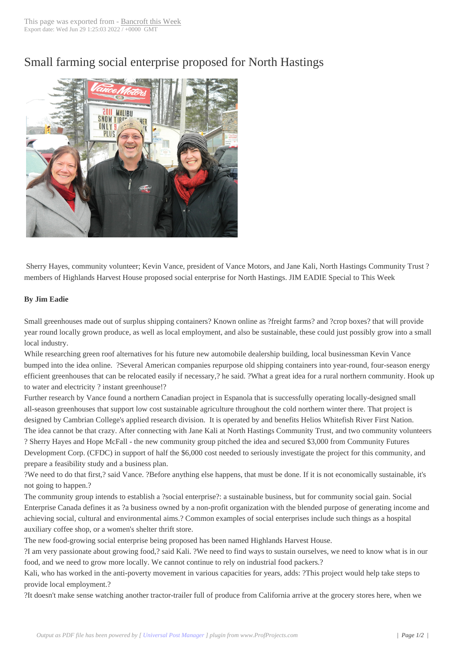## Small farming soci[al enterprise](http://www.bancroftthisweek.com/?p=5659) proposed for North Hastings



Sherry Hayes, community volunteer; Kevin Vance, president of Vance Motors, and Jane Kali, North Hastings Community Trust ? members of Highlands Harvest House proposed social enterprise for North Hastings. JIM EADIE Special to This Week

## **By Jim Eadie**

Small greenhouses made out of surplus shipping containers? Known online as ?freight farms? and ?crop boxes? that will provide year round locally grown produce, as well as local employment, and also be sustainable, these could just possibly grow into a small local industry.

While researching green roof alternatives for his future new automobile dealership building, local businessman Kevin Vance bumped into the idea online. ?Several American companies repurpose old shipping containers into year-round, four-season energy efficient greenhouses that can be relocated easily if necessary,? he said. ?What a great idea for a rural northern community. Hook up to water and electricity ? instant greenhouse!?

Further research by Vance found a northern Canadian project in Espanola that is successfully operating locally-designed small all-season greenhouses that support low cost sustainable agriculture throughout the cold northern winter there. That project is designed by Cambrian College's applied research division. It is operated by and benefits Helios Whitefish River First Nation. The idea cannot be that crazy. After connecting with Jane Kali at North Hastings Community Trust, and two community volunteers ? Sherry Hayes and Hope McFall - the new community group pitched the idea and secured \$3,000 from Community Futures Development Corp. (CFDC) in support of half the \$6,000 cost needed to seriously investigate the project for this community, and prepare a feasibility study and a business plan.

?We need to do that first,? said Vance. ?Before anything else happens, that must be done. If it is not economically sustainable, it's not going to happen.?

The community group intends to establish a ?social enterprise?: a sustainable business, but for community social gain. Social Enterprise Canada defines it as ?a business owned by a non-profit organization with the blended purpose of generating income and achieving social, cultural and environmental aims.? Common examples of social enterprises include such things as a hospital auxiliary coffee shop, or a women's shelter thrift store.

The new food-growing social enterprise being proposed has been named Highlands Harvest House.

?I am very passionate about growing food,? said Kali. ?We need to find ways to sustain ourselves, we need to know what is in our food, and we need to grow more locally. We cannot continue to rely on industrial food packers.?

Kali, who has worked in the anti-poverty movement in various capacities for years, adds: ?This project would help take steps to provide local employment.?

?It doesn't make sense watching another tractor-trailer full of produce from California arrive at the grocery stores here, when we